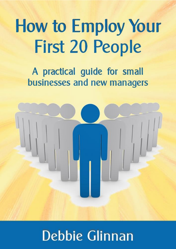# **How to Employ Your First 20 People**

A practical guide for small businesses and new managers



# **Debbie Glinnan**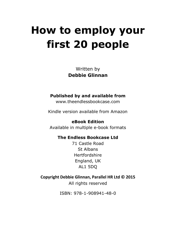Written by **Debbie Glinnan**

#### **Published by and available from**

www.theendlessbookcase.com

Kindle version available from Amazon

**eBook Edition** Available in multiple e-book formats

#### **The Endless Bookcase Ltd**

71 Castle Road St Albans Hertfordshire England, UK AL1 5DQ

**Copyright Debbie Glinnan, Parallel HR Ltd © 2015**

All rights reserved

ISBN: 978-1-908941-48-0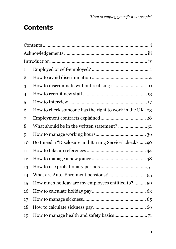# <span id="page-2-0"></span>**Contents**

| 1  |                                                         |  |
|----|---------------------------------------------------------|--|
| 2  |                                                         |  |
| 3  |                                                         |  |
| 4  |                                                         |  |
| 5  |                                                         |  |
| 6  | How to check someone has the right to work in the UK.23 |  |
| 7  |                                                         |  |
| 8  | What should be in the written statement? 31             |  |
| 9  |                                                         |  |
| 10 | Do I need a "Disclosure and Barring Service" check?  40 |  |
| 11 |                                                         |  |
| 12 |                                                         |  |
| 13 |                                                         |  |
| 14 |                                                         |  |
| 15 | How much holiday are my employees entitled to? 59       |  |
| 16 |                                                         |  |
| 17 |                                                         |  |
| 18 |                                                         |  |
| 19 |                                                         |  |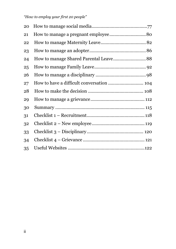| 20 |  |
|----|--|
| 21 |  |
| 22 |  |
| 23 |  |
| 24 |  |
| 25 |  |
| 26 |  |
| 27 |  |
| 28 |  |
| 29 |  |
| 30 |  |
| 31 |  |
| 32 |  |
| 33 |  |
| 34 |  |
| 35 |  |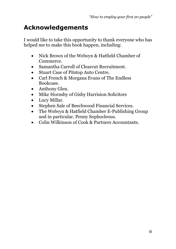# <span id="page-4-0"></span>**Acknowledgements**

I would like to take this opportunity to thank everyone who has helped me to make this book happen, including:

- Nick Brown of the Welwyn & Hatfield Chamber of Commerce.
- Samantha Carroll of Clearcut Recruitment.
- Stuart Case of Pitstop Auto Centre.
- Carl French & Morgana Evans of The Endless Bookcase.
- Anthony Glen.
- Mike Hornsby of Gisby Harrision Solicitors
- Lucy Millar.
- Stephen Sale of Beechwood Financial Services.
- The Welwyn & Hatfield Chamber E-Publishing Group and in particular, Penny Sophocleous.
- Colin Wilkinson of Cook & Partners Accountants.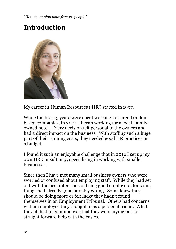# <span id="page-5-0"></span>**Introduction**



My career in Human Resources ('HR') started in 1997.

While the first 15 years were spent working for large Londonbased companies, in 2004 I began working for a local, familyowned hotel. Every decision felt personal to the owners and had a direct impact on the business. With staffing such a huge part of their running costs, they needed good HR practices on a budget.

I found it such an enjoyable challenge that in 2012 I set up my own HR Consultancy, specialising in working with smaller businesses.

Since then I have met many small business owners who were worried or confused about employing staff. While they had set out with the best intentions of being good employers, for some, things had already gone horribly wrong. Some knew they should be doing more or felt lucky they hadn't found themselves in an Employment Tribunal. Others had concerns with an employee they thought of as a personal friend. What they all had in common was that they were crying out for straight forward help with the basics.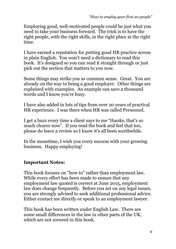Employing good, well-motivated people could be just what you need to take your business forward. The trick is to have the right people, with the right skills, in the right place at the right time.

I have earned a reputation for putting good HR practice across in plain English. You won't need a dictionary to read this book. It's designed so you can read it straight through or just pick out the section that matters to you now.

Some things may strike you as common sense. Great. You are already on the way to being a good employer. Other things are explained with examples. An example can save a thousand words and I know you're busy.

I have also added in lots of tips from over 20 years of practical HR experience. I was there when HR was called Personnel.

I get a buzz every time a client says to me "thanks, that's so much clearer now". If you read the book and feel that too, please do leave a review so I know it's all been worthwhile.

In the meantime, I wish you every success with your growing business. Happy employing!

## **Important Notes:**

This book focuses on "how to" rather than employment law. While every effort has been made to ensure that any employment law quoted is correct at June 2015, employment law does change frequently. Before you act on any legal issues, you are strongly advised to seek additional professional advice. Either contact me directly or speak to an employment lawyer.

This book has been written under English Law. There are some small differences in the law in other parts of the UK, which are not covered in this book.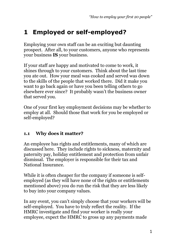# <span id="page-8-0"></span>**1 Employed or self-employed?**

Employing your own staff can be an exciting but daunting prospect. After all, to your customers, anyone who represents your business **IS** your business.

If your staff are happy and motivated to come to work, it shines through to your customers. Think about the last time you ate out. How your meal was cooked and served was down to the skills of the people that worked there. Did it make you want to go back again or have you been telling others to go elsewhere ever since? It probably wasn't the business owner that served you.

One of your first key employment decisions may be whether to employ at all. Should those that work for you be employed or self-employed?

## **1.1 Why does it matter?**

An employee has rights and entitlements, many of which are discussed here. They include rights to sickness, maternity and paternity pay, holiday entitlement and protection from unfair dismissal. The employer is responsible for their tax and National Insurance.

While it is often cheaper for the company if someone is selfemployed (as they will have none of the rights or entitlements mentioned above) you do run the risk that they are less likely to buy into your company values.

In any event, you can't simply choose that your workers will be self-employed. You have to truly reflect the reality. If the HMRC investigate and find your worker is really your employee, expect the HMRC to gross up any payments made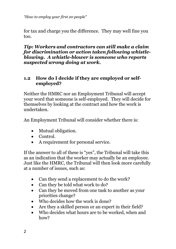for tax and charge you the difference. They may well fine you too.

#### *Tip: Workers and contractors can still make a claim for discrimination or action taken following whistleblowing. A whistle-blower is someone who reports suspected wrong doing at work.*

### **1.2 How do I decide if they are employed or selfemployed?**

Neither the HMRC nor an Employment Tribunal will accept your word that someone is self-employed. They will decide for themselves by looking at the contract and how the work is undertaken.

An Employment Tribunal will consider whether there is:

- Mutual obligation.
- Control.
- A requirement for personal service.

If the answer to all of these is "yes", the Tribunal will take this as an indication that the worker may actually be an employee. Just like the HMRC, the Tribunal will then look more carefully at a number of issues, such as:

- Can they send a replacement to do the work?
- Can they be told what work to do?
- Can they be moved from one task to another as your priorities change?
- Who decides how the work is done?
- Are they a skilled person or an expert in their field?
- Who decides what hours are to be worked, when and how?